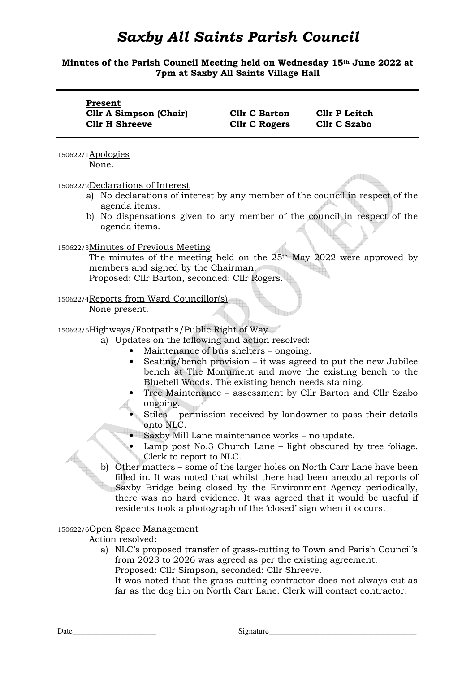# *Saxby All Saints Parish Council*

## **Minutes of the Parish Council Meeting held on Wednesday 15th June 2022 at 7pm at Saxby All Saints Village Hall**

| Present<br><b>Cllr A Simpson (Chair)</b><br><b>Cllr H Shreeve</b>                                                                                                                                                                                                                                                                                                                                                                                                                                                                                                                                                                                                                                                                                                                                                                                                                                                                                                                                                                                 | <b>Cllr C Barton</b><br><b>Cllr C Rogers</b> | <b>Cllr P Leitch</b><br><b>Cllr C Szabo</b> |  |  |
|---------------------------------------------------------------------------------------------------------------------------------------------------------------------------------------------------------------------------------------------------------------------------------------------------------------------------------------------------------------------------------------------------------------------------------------------------------------------------------------------------------------------------------------------------------------------------------------------------------------------------------------------------------------------------------------------------------------------------------------------------------------------------------------------------------------------------------------------------------------------------------------------------------------------------------------------------------------------------------------------------------------------------------------------------|----------------------------------------------|---------------------------------------------|--|--|
| 150622/1Apologies<br>None.                                                                                                                                                                                                                                                                                                                                                                                                                                                                                                                                                                                                                                                                                                                                                                                                                                                                                                                                                                                                                        |                                              |                                             |  |  |
| 150622/2Declarations of Interest<br>No declarations of interest by any member of the council in respect of the<br>a)<br>agenda items.<br>b) No dispensations given to any member of the council in respect of the<br>agenda items.                                                                                                                                                                                                                                                                                                                                                                                                                                                                                                                                                                                                                                                                                                                                                                                                                |                                              |                                             |  |  |
| 150622/3Minutes of Previous Meeting<br>The minutes of the meeting held on the $25th$ May 2022 were approved by<br>members and signed by the Chairman.<br>Proposed: Cllr Barton, seconded: Cllr Rogers.                                                                                                                                                                                                                                                                                                                                                                                                                                                                                                                                                                                                                                                                                                                                                                                                                                            |                                              |                                             |  |  |
| 150622/4Reports from Ward Councillor(s)<br>None present.                                                                                                                                                                                                                                                                                                                                                                                                                                                                                                                                                                                                                                                                                                                                                                                                                                                                                                                                                                                          |                                              |                                             |  |  |
| 150622/5Highways/Footpaths/Public Right of Way<br>a) Updates on the following and action resolved:<br>Maintenance of bus shelters – ongoing.<br>Seating/bench provision – it was agreed to put the new Jubilee<br>bench at The Monument and move the existing bench to the<br>Bluebell Woods. The existing bench needs staining.<br>Tree Maintenance - assessment by Cllr Barton and Cllr Szabo<br>ongoing.<br>Stiles – permission received by landowner to pass their details<br>onto NLC.<br>Saxby Mill Lane maintenance works - no update.<br>Lamp post No.3 Church Lane - light obscured by tree foliage.<br>Clerk to report to NLC.<br>b) Other matters – some of the larger holes on North Carr Lane have been<br>filled in. It was noted that whilst there had been anecdotal reports of<br>Saxby Bridge being closed by the Environment Agency periodically,<br>there was no hard evidence. It was agreed that it would be useful if<br>residents took a photograph of the 'closed' sign when it occurs.<br>150622/6Open Space Management |                                              |                                             |  |  |

### Action resolved:

a) NLC's proposed transfer of grass-cutting to Town and Parish Council's from 2023 to 2026 was agreed as per the existing agreement. Proposed: Cllr Simpson, seconded: Cllr Shreeve.

It was noted that the grass-cutting contractor does not always cut as far as the dog bin on North Carr Lane. Clerk will contact contractor.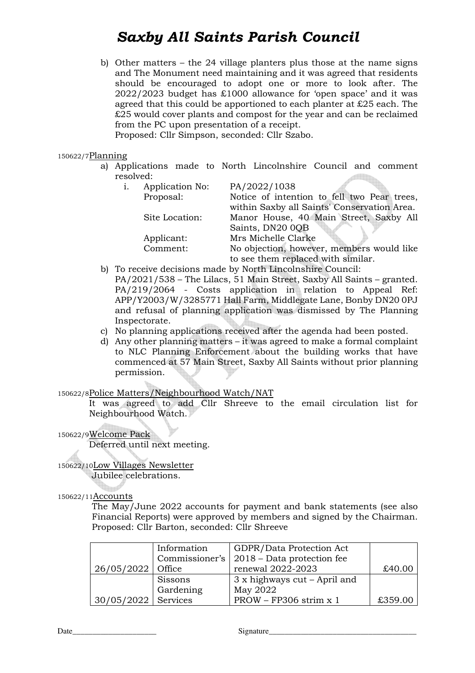# *Saxby All Saints Parish Council*

b) Other matters – the 24 village planters plus those at the name signs and The Monument need maintaining and it was agreed that residents should be encouraged to adopt one or more to look after. The 2022/2023 budget has £1000 allowance for 'open space' and it was agreed that this could be apportioned to each planter at £25 each. The £25 would cover plants and compost for the year and can be reclaimed from the PC upon presentation of a receipt.

Proposed: Cllr Simpson, seconded: Cllr Szabo.

#### 150622/7Planning

a) Applications made to North Lincolnshire Council and comment resolved: **All Charles** 

| Application No: | PA/2022/1038                                |
|-----------------|---------------------------------------------|
| Proposal:       | Notice of intention to fell two Pear trees, |
|                 | within Saxby all Saints' Conservation Area. |
| Site Location:  | Manor House, 40 Main Street, Saxby All      |
|                 | Saints, DN20 0QB                            |
| Applicant:      | Mrs Michelle Clarke                         |
| Comment:        | No objection, however, members would like   |
|                 | to see them replaced with similar.          |
|                 |                                             |

- b) To receive decisions made by North Lincolnshire Council:
- PA/2021/538 The Lilacs, 51 Main Street, Saxby All Saints granted. PA/219/2064 - Costs application in relation to Appeal Ref: APP/Y2003/W/3285771 Hall Farm, Middlegate Lane, Bonby DN20 0PJ and refusal of planning application was dismissed by The Planning Inspectorate.
- c) No planning applications received after the agenda had been posted.
- d) Any other planning matters it was agreed to make a formal complaint to NLC Planning Enforcement about the building works that have commenced at 57 Main Street, Saxby All Saints without prior planning permission.

### 150622/8Police Matters/Neighbourhood Watch/NAT

It was agreed to add Cllr Shreeve to the email circulation list for Neighbourhood Watch.

150622/9Welcome Pack

Deferred until next meeting.

# 150622/10Low Villages Newsletter

Jubilee celebrations.

### 150622/11Accounts

The May/June 2022 accounts for payment and bank statements (see also Financial Reports) were approved by members and signed by the Chairman. Proposed: Cllr Barton, seconded: Cllr Shreeve

|                       | Information | GDPR/Data Protection Act                    |         |
|-----------------------|-------------|---------------------------------------------|---------|
|                       |             | Commissioner's   2018 – Data protection fee |         |
| $26/05/2022$ Office   |             | renewal 2022-2023                           | £40.00  |
|                       | Sissons     | $3x$ highways cut – April and               |         |
|                       | Gardening   | May 2022                                    |         |
| $30/05/2022$ Services |             | $PROW - FP306$ strim x 1                    | £359.00 |

Date\_\_\_\_\_\_\_\_\_\_\_\_\_\_\_\_\_\_\_\_\_ Signature\_\_\_\_\_\_\_\_\_\_\_\_\_\_\_\_\_\_\_\_\_\_\_\_\_\_\_\_\_\_\_\_\_\_\_\_\_